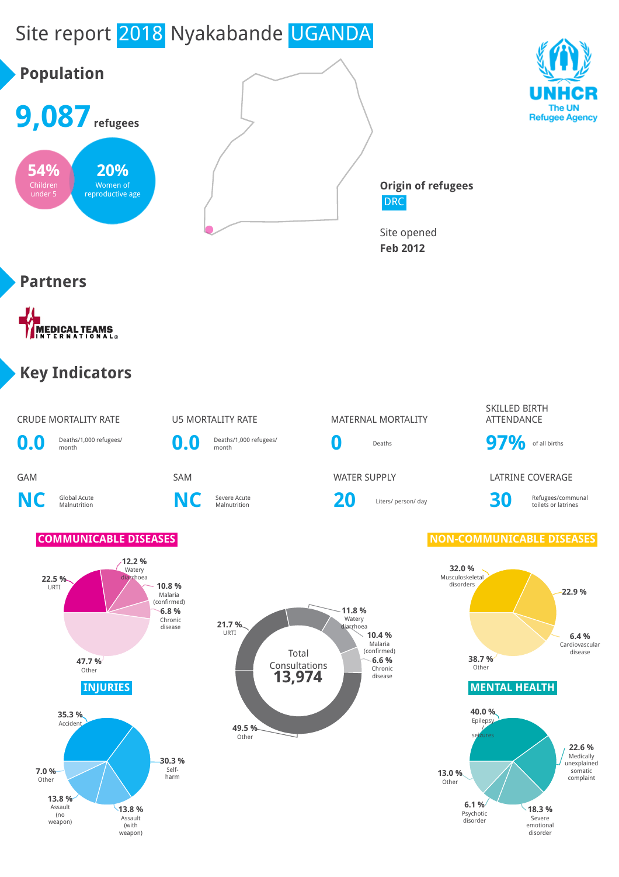



SKILLED BIRTH ATTENDANCE

toilets or latrines





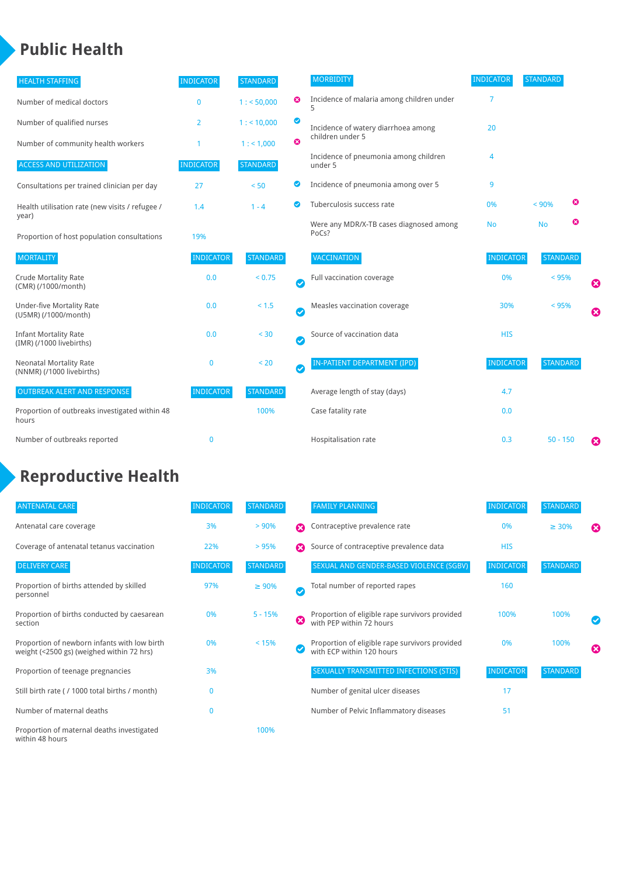### **Public Health**

| <b>HEALTH STAFFING</b>                                      | <b>INDICATOR</b> | <b>STANDARD</b> |           | <b>MORBIDITY</b>                                 | <b>INDICATOR</b> | <b>STANDARD</b> |   |   |
|-------------------------------------------------------------|------------------|-----------------|-----------|--------------------------------------------------|------------------|-----------------|---|---|
| Number of medical doctors                                   | $\bf{0}$         | 1: 50,000       | ☺         | Incidence of malaria among children under        | 7                |                 |   |   |
| Number of qualified nurses                                  | 2                | $1:$ < 10,000   | ◙         | Incidence of watery diarrhoea among              | 20               |                 |   |   |
| Number of community health workers                          |                  | 1: 1,000        | ೞ         | children under 5                                 |                  |                 |   |   |
| <b>ACCESS AND UTILIZATION</b>                               | <b>INDICATOR</b> | <b>STANDARD</b> |           | Incidence of pneumonia among children<br>under 5 | 4                |                 |   |   |
| Consultations per trained clinician per day                 | 27               | < 50            | Ø         | Incidence of pneumonia among over 5              | 9                |                 |   |   |
| Health utilisation rate (new visits / refugee /             | 1.4              | $1 - 4$         |           | Tuberculosis success rate                        | 0%               | < 90%           | ☎ |   |
| year)<br>Proportion of host population consultations        | 19%              |                 |           | Were any MDR/X-TB cases diagnosed among<br>PoCs? | <b>No</b>        | <b>No</b>       | ☺ |   |
| <b>MORTALITY</b>                                            | <b>INDICATOR</b> | <b>STANDARD</b> |           | VACCINATION                                      | <b>INDICATOR</b> | <b>STANDARD</b> |   |   |
| <b>Crude Mortality Rate</b><br>(CMR) (/1000/month)          | 0.0              | < 0.75          | $\bullet$ | Full vaccination coverage                        | 0%               | $< 95\%$        |   | ☺ |
| <b>Under-five Mortality Rate</b><br>(U5MR) (/1000/month)    | 0.0              | $< 1.5$         | $\bullet$ | Measles vaccination coverage                     | 30%              | < 95%           |   | ☺ |
| <b>Infant Mortality Rate</b><br>(IMR) (/1000 livebirths)    | 0.0              | < 30            | $\bullet$ | Source of vaccination data                       | <b>HIS</b>       |                 |   |   |
| <b>Neonatal Mortality Rate</b><br>(NNMR) (/1000 livebirths) | $\mathbf 0$      | < 20            | $\bullet$ | <b>IN-PATIENT DEPARTMENT (IPD)</b>               | <b>INDICATOR</b> | <b>STANDARD</b> |   |   |
| <b>OUTBREAK ALERT AND RESPONSE</b>                          | <b>INDICATOR</b> | <b>STANDARD</b> |           | Average length of stay (days)                    | 4.7              |                 |   |   |
| Proportion of outbreaks investigated within 48<br>hours     |                  | 100%            |           | Case fatality rate                               | 0.0              |                 |   |   |
| Number of outbreaks reported                                | $\mathbf{0}$     |                 |           | Hospitalisation rate                             | 0.3              | $50 - 150$      |   | Ø |

# **Reproductive Health**

| <b>ANTENATAL CARE</b>                                                                     | <b>INDICATOR</b> | <b>STANDARD</b> |                       | <b>FAMILY PLANNING</b>                                                      | <b>INDICATOR</b> | <b>STANDARD</b> |                       |
|-------------------------------------------------------------------------------------------|------------------|-----------------|-----------------------|-----------------------------------------------------------------------------|------------------|-----------------|-----------------------|
| Antenatal care coverage                                                                   | 3%               | $> 90\%$        | $\boldsymbol{\Omega}$ | Contraceptive prevalence rate                                               | 0%               | $\geq 30\%$     | $\boldsymbol{\Omega}$ |
| Coverage of antenatal tetanus vaccination                                                 | 22%              | >95%            | $\boldsymbol{\Omega}$ | Source of contraceptive prevalence data                                     | <b>HIS</b>       |                 |                       |
| <b>DELIVERY CARE</b>                                                                      | <b>INDICATOR</b> | <b>STANDARD</b> |                       | SEXUAL AND GENDER-BASED VIOLENCE (SGBV)                                     | <b>INDICATOR</b> | <b>STANDARD</b> |                       |
| Proportion of births attended by skilled<br>personnel                                     | 97%              | $\geq 90\%$     | $\checkmark$          | Total number of reported rapes                                              | 160              |                 |                       |
| Proportion of births conducted by caesarean<br>section                                    | 0%               | $5 - 15%$       | Ø                     | Proportion of eligible rape survivors provided<br>with PEP within 72 hours  | 100%             | 100%            | ✓                     |
| Proportion of newborn infants with low birth<br>weight (<2500 gs) (weighed within 72 hrs) | 0%               | < 15%           |                       | Proportion of eligible rape survivors provided<br>with ECP within 120 hours | 0%               | 100%            | ☎                     |
| Proportion of teenage pregnancies                                                         | 3%               |                 |                       | SEXUALLY TRANSMITTED INFECTIONS (STIS)                                      | <b>INDICATOR</b> | <b>STANDARD</b> |                       |
| Still birth rate (/ 1000 total births / month)                                            | $\Omega$         |                 |                       | Number of genital ulcer diseases                                            | 17               |                 |                       |
| Number of maternal deaths                                                                 | $\mathbf{0}$     |                 |                       | Number of Pelvic Inflammatory diseases                                      | 51               |                 |                       |
| Proportion of maternal deaths investigated<br>within 48 hours                             |                  | 100%            |                       |                                                                             |                  |                 |                       |